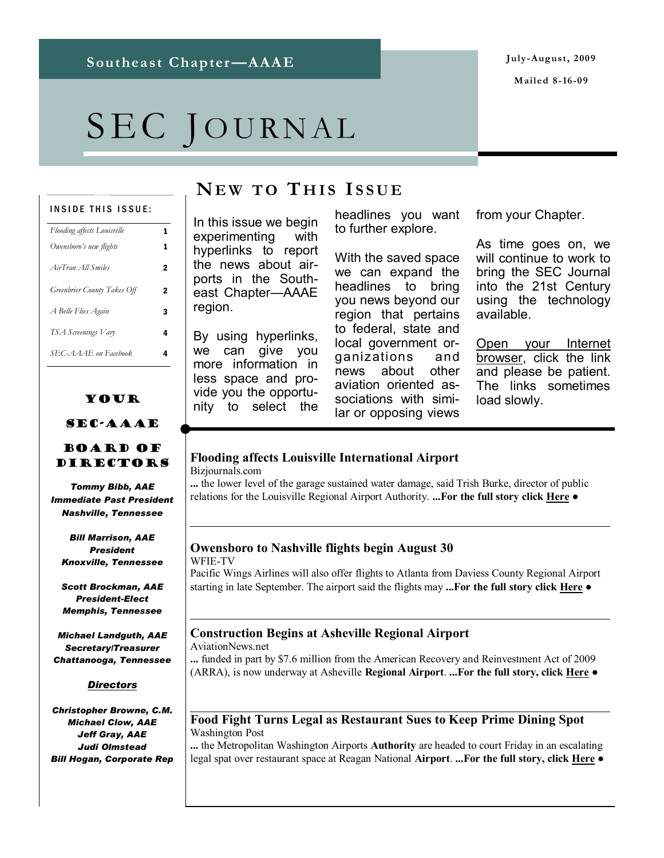# SEC JOURNAL

#### INSIDE THIS ISSUE:

| <b>Flooding affects Louisville</b> | 1 |
|------------------------------------|---|
| Owensboro's new flights            | 1 |
| AirTran All Smiles                 | 2 |
| Greenbrier County Takes Off        | 2 |
| A Belle Flies Again                | 3 |
| TSA Screenings Vary                | 4 |
| SEC-AAAE on Facebook               | 4 |

#### Your

#### SEC-AAAE

#### Board of Directors

*Tommy Bibb, AAE Immediate Past President Nashville, Tennessee*

*Bill Marrison, AAE President Knoxville, Tennessee*

*Scott Brockman, AAE President-Elect Memphis, Tennessee*

*Michael Landguth, AAE Secretary/Treasurer Chattanooga, Tennessee*

#### *Directors*

*Christopher Browne, C.M. Michael Clow, AAE Jeff Gray, AAE Judi Olmstead Bill Hogan, Corporate Rep*

### **NE W T O T H I S I SSUE**

In this issue we begin experimenting with hyperlinks to report the news about airports in the Southeast Chapter—AAAE region.

By using hyperlinks, we can give you more information in less space and provide you the opportunity to select the

headlines you want to further explore.

With the saved space we can expand the headlines to bring you news beyond our region that pertains to federal, state and local government organizations and news about other aviation oriented associations with similar or opposing views

from your Chapter.

As time goes on, we will continue to work to bring the SEC Journal into the 21st Century using the technology available.

Open your Internet browser, click the link and please be patient. The links sometimes load slowly.

#### **[Flooding affects Louisville International Airport](http://www.bizjournals.com/louisville/stories/2009/08/03/daily20.html)**

Bizjournals.com

**...** the lower level of the garage sustained water damage, said Trish Burke, director of public relations for the Louisville Regional Airport Authority. **...For the full story click H[ere](http://www.bizjournals.com/louisville/stories/2009/08/03/daily20.html) ●**

#### **[Owensboro to Nashville flights begin August 30](http://www.14wfie.com/Global/story.asp?S=10840166)** WFIE-TV

Pacific Wings Airlines will also offer flights to Atlanta from Daviess County Regional Airport starting in late September. The airport said the flights may **...For the full story click [Here](http://www.14wfie.com/Global/story.asp?S=10840166) ●**

#### **[Construction Begins at Asheville Regional Airport](http://www.aviationnews.net/?do=headline&news_ID=170062)**

AviationNews.net

**...** funded in part by \$7.6 million from the American Recovery and Reinvestment Act of 2009 (ARRA), is now underway at Asheville **Regional Airport**. **...For the full story, click [Here](http://www.aviationnews.net/?do=headline&news_ID=170062) ●**

#### **[Food Fight Turns Legal as Restaurant Sues to Keep Prime Dining Spot](http://www.washingtonpost.com/wp-dyn/content/article/2009/08/03/AR2009080302838.html)** Washington Post

**...** the Metropolitan Washington Airports **Authority** are headed to court Friday in an escalating legal spat over restaurant space at Reagan National **Airport**. **...For the full story, click [Here](http://www.washingtonpost.com/wp-dyn/content/article/2009/08/03/AR2009080302838.html) ●**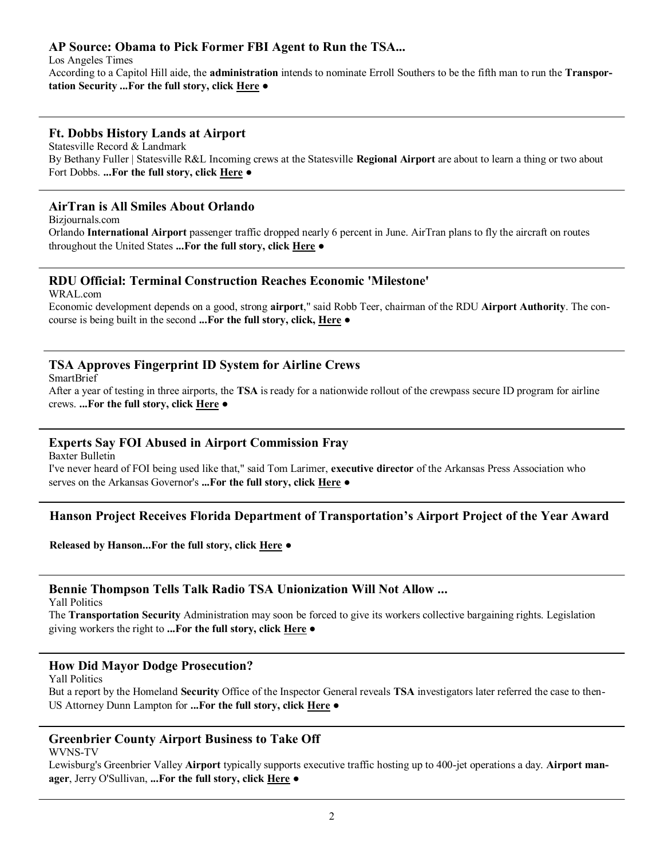#### **[AP Source: Obama to Pick Former FBI Agent to Run the TSA...](http://www.latimes.com/news/nationworld/politics/wire/sns-ap-us-tsa-director,1,1734270.story)**

Los Angeles Times According to a Capitol Hill aide, the **administration** intends to nominate Erroll Southers to be the fifth man to run the **Transportation Security ...For the full story, click [Here](http://www.latimes.com/news/nationworld/politics/wire/sns-ap-us-tsa-director,1,1734270.story) ●**

#### **[Ft. Dobbs History Lands at Airport](http://www2.statesville.com/content/2009/aug/07/ft-dobbs-history-lands-airport/news-local/)**

Statesville Record & Landmark By Bethany Fuller | Statesville R&L Incoming crews at the Statesville **Regional Airport** are about to learn a thing or two about Fort Dobbs. **...For the full story, click [Here](http://www2.statesville.com/content/2009/aug/07/ft-dobbs-history-lands-airport/news-local/) ●**

#### **[AirTran is All Smiles About Orlando](http://www.bizjournals.com/orlando/stories/2009/08/03/daily50.html)**

Bizjournals.com

Orlando **International Airport** passenger traffic dropped nearly 6 percent in June. AirTran plans to fly the aircraft on routes throughout the United States **...For the full story, click [Here](http://www.bizjournals.com/orlando/stories/2009/08/03/daily50.html) ●**

#### **[RDU Official: Terminal Construction Reaches Economic 'Milestone'](http://www.wral.com/news/local/story/5748910/)**

WRAL.com

Economic development depends on a good, strong **airport**," said Robb Teer, chairman of the RDU **Airport Authority**. The concourse is being built in the second **...For the full story, click, [Here](http://www.wral.com/news/local/story/5748910/) ●**

#### **[TSA Approves Fingerprint ID System for Airline Crews](http://www.smartbrief.com/news/aia/storyDetails.jsp?issueid=67DC8E31-3769-4BF1-A752-1542C50571FC©id=74F30822-3D46-4BFF-9A88-133D608225B6)**

SmartBrief

After a year of testing in three airports, the **TSA** is ready for a nationwide rollout of the crewpass secure ID program for airline crews. **...For the full story, click [Here](http://www.smartbrief.com/news/aia/storyDetails.jsp?issueid=67DC8E31-3769-4BF1-A752-1542C50571FC©id=74F30822-3D46-4BFF-9A88-133D608225B6) ●**

#### **[Experts Say FOI Abused in Airport Commission Fray](http://www.baxterbulletin.com/article/20090807/NEWS01/908070342/1002/Experts-say-FOI-abused-in-airport-commission-fray)**

Baxter Bulletin

I've never heard of FOI being used like that," said Tom Larimer, **executive director** of the Arkansas Press Association who serves on the Arkansas Governor's **...For the full story, click [Here](http://www.baxterbulletin.com/article/20090807/NEWS01/908070342/1002/Experts-say-FOI-abused-in-airport-commission-fray) ●**

#### **Hanson Project Receives Florida Department of Transportation's Airport Project of the Year Award**

**Released by Hanson...For the full story, click [Here](http://www.hanson-inc.com/news.aspx?page=news-release-text&articleid=hanson-project-receives-fdot-project-of-the-year) ●**

#### **[Bennie Thompson Tells Talk Radio TSA Unionization Will Not Allow ...](http://yallpolitics.com/index.php/yp/post/17139/)**

Yall Politics

The **Transportation Security** Administration may soon be forced to give its workers collective bargaining rights. Legislation giving workers the right to **...For the full story, click [Here](http://yallpolitics.com/index.php/yp/post/17139/) ●**

#### **[How Did Mayor Dodge Prosecution?](http://yallpolitics.com/index.php/yp/post/15197/)**

Yall Politics

But a report by the Homeland **Security** Office of the Inspector General reveals **TSA** investigators later referred the case to then-US Attorney Dunn Lampton for **...For the full story, click [Here](http://yallpolitics.com/index.php/yp/post/15197/) ●**

#### **[Greenbrier County Airport Business to Take Off](http://www.wvnstv.com/story.cfm?func=viewstory&storyid=64252)**

WVNS-TV

Lewisburg's Greenbrier Valley **Airport** typically supports executive traffic hosting up to 400-jet operations a day. **Airport manager**, Jerry O'Sullivan, **...For the full story, click [Here](http://www.wvnstv.com/story.cfm?func=viewstory&storyid=64252) ●**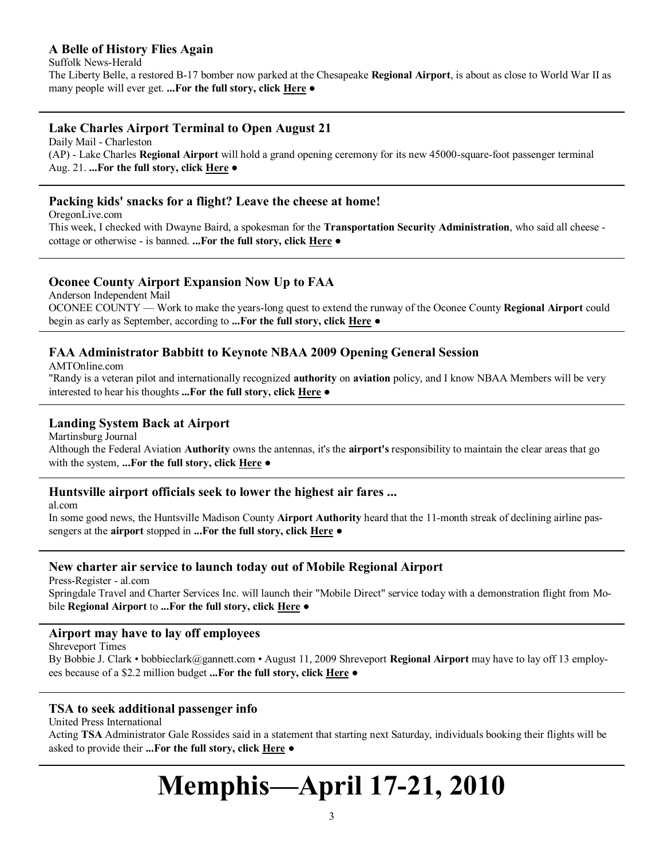#### **[A Belle of History Flies Again](http://www.suffolknewsherald.com/news/2009/aug/06/belle-history-flies-again/)**

Suffolk News-Herald

The Liberty Belle, a restored B-17 bomber now parked at the Chesapeake **Regional Airport**, is about as close to World War II as many people will ever get. **...For the full story, click [Here](http://www.suffolknewsherald.com/news/2009/aug/06/belle-history-flies-again/) ●**

#### **[Lake Charles Airport Terminal to Open August 21](http://www.dailymail.com/ap/ApTopStories/200908060182)**

Daily Mail - Charleston (AP) - Lake Charles **Regional Airport** will hold a grand opening ceremony for its new 45000-square-foot passenger terminal Aug. 21. **...For the full story, click [Here](http://www.dailymail.com/ap/ApTopStories/200908060182) ●**

#### **[Packing kids' snacks for a flight? Leave the cheese at home!](http://blog.oregonlive.com/themombeat/2009/08/homeawayhomecomgetting_through.html)**

OregonLive.com

This week, I checked with Dwayne Baird, a spokesman for the **Transportation Security Administration**, who said all cheese cottage or otherwise - is banned. **...For the full story, click [Here](http://blog.oregonlive.com/themombeat/2009/08/homeawayhomecomgetting_through.html) ●**

#### **[Oconee County Airport Expansion Now Up to FAA](http://www.independentmail.com/news/2009/aug/05/oconee-county-airport-expansion-now-faa/)**

Anderson Independent Mail OCONEE COUNTY — Work to make the years-long quest to extend the runway of the Oconee County **Regional Airport** could begin as early as September, according to **...For the full story, click [Here](http://www.independentmail.com/news/2009/aug/05/oconee-county-airport-expansion-now-faa/) ●**

#### **[FAA Administrator Babbitt to Keynote NBAA 2009 Opening General Session](http://www.amtonline.com/article/article.jsp?siteSection=1&id=8941)**

AMTOnline.com

"Randy is a veteran pilot and internationally recognized **authority** on **aviation** policy, and I know NBAA Members will be very interested to hear his thoughts **...For the full story, click [Here](http://www.amtonline.com/article/article.jsp?siteSection=1&id=8941) ●**

#### **[Landing System Back at Airport](http://www.journal-news.net/page/content.detail/id/523348.html)**

Martinsburg Journal

Although the Federal Aviation **Authority** owns the antennas, it's the **airport's** responsibility to maintain the clear areas that go with the system, **...For the full story, click [Here](http://www.journal-news.net/page/content.detail/id/523348.html) ●**

#### **[Huntsville airport officials seek to lower the highest air fares ...](http://blog.al.com/breaking/2009/08/huntsville_airport_officials_s.html)**

al.com

In some good news, the Huntsville Madison County **Airport Authority** heard that the 11-month streak of declining airline passengers at the **airport** stopped in **...For the full story, click [Here](http://blog.al.com/breaking/2009/08/huntsville_airport_officials_s.html) ●**

#### **[New charter air service to launch today out of Mobile Regional Airport](http://www.al.com/business/press-register/index.ssf?/base/business/1250068571197200.xml&coll=3)**

Press-Register - al.com

Springdale Travel and Charter Services Inc. will launch their "Mobile Direct" service today with a demonstration flight from Mobile **Regional Airport** to **...For the full story, click [Here](http://www.al.com/business/press-register/index.ssf?/base/business/1250068571197200.xml&coll=3) ●**

#### **[Airport may have to lay off employees](http://www.shreveporttimes.com/article/20090811/NEWS05/90811036)**

Shreveport Times

By Bobbie J. Clark • bobbieclark@gannett.com • August 11, 2009 Shreveport **Regional Airport** may have to lay off 13 employees because of a \$2.2 million budget **...For the full story, click [Here](http://www.shreveporttimes.com/article/20090811/NEWS05/90811036) ●**

#### **[TSA to seek additional passenger info](http://www.upi.com/Top_News/2009/08/10/TSA-to-seek-additional-passenger-info/UPI-55341249923847/)**

United Press International

Acting **TSA** Administrator Gale Rossides said in a statement that starting next Saturday, individuals booking their flights will be asked to provide their **...For the full story, click [Here](http://www.upi.com/Top_News/2009/08/10/TSA-to-seek-additional-passenger-info/UPI-55341249923847/) ●**

## **Memphis—April 17-21, 2010**